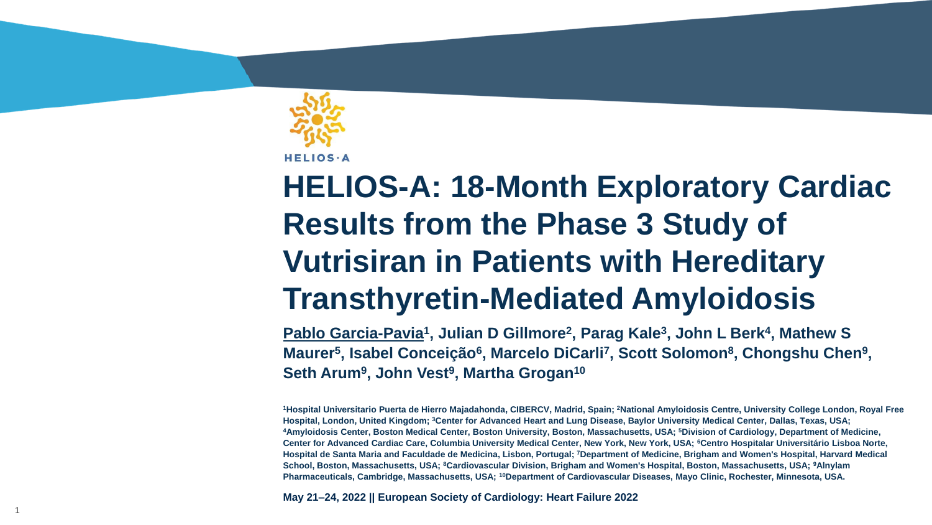

1

# **HELIOS -A: 18 -Month Exploratory Cardiac Results from the Phase 3 Study of Vutrisiran in Patients with Hereditary Transthyretin -Mediated Amyloidosis**

**Pablo Garcia-Pavia<sup>1</sup>, Julian D Gillmore<sup>2</sup>, Parag Kale<sup>3</sup>, John L Berk<sup>4</sup>, Mathew S Maurer<sup>5</sup>, Isabel Conceição<sup>6</sup>, Marcelo DiCarli<sup>7</sup>, Scott Solomon<sup>8</sup>, Chongshu Chen<sup>9</sup>, Seth Arum 9 , John Vest 9 , Martha Grogan<sup>10</sup>**

**<sup>1</sup>Hospital Universitario Puerta de Hierro Majadahonda, CIBERCV, Madrid, Spain; <sup>2</sup>National Amyloidosis Centre, University College London, Royal Free Hospital, London, United Kingdom; <sup>3</sup>Center for Advanced Heart and Lung Disease, Baylor University Medical Center, Dallas, Texas, USA; <sup>4</sup>Amyloidosis Center, Boston Medical Center, Boston University, Boston, Massachusetts, USA; <sup>5</sup>Division of Cardiology, Department of Medicine, Center for Advanced Cardiac Care, Columbia University Medical Center, New York, New York, USA; <sup>6</sup>Centro Hospitalar Universitário Lisboa Norte,**  Hospital de Santa Maria and Faculdade de Medicina, Lisbon, Portugal; <sup>7</sup>Department of Medicine, Brigham and Women's Hospital, Harvard Medical **School, Boston, Massachusetts, USA; <sup>8</sup>Cardiovascular Division, Brigham and Women's Hospital, Boston, Massachusetts, USA; <sup>9</sup>Alnylam Pharmaceuticals, Cambridge, Massachusetts, USA; <sup>10</sup>Department of Cardiovascular Diseases, Mayo Clinic, Rochester, Minnesota, USA.**

**May 21 –24, 2022 || European Society of Cardiology: Heart Failure 2022**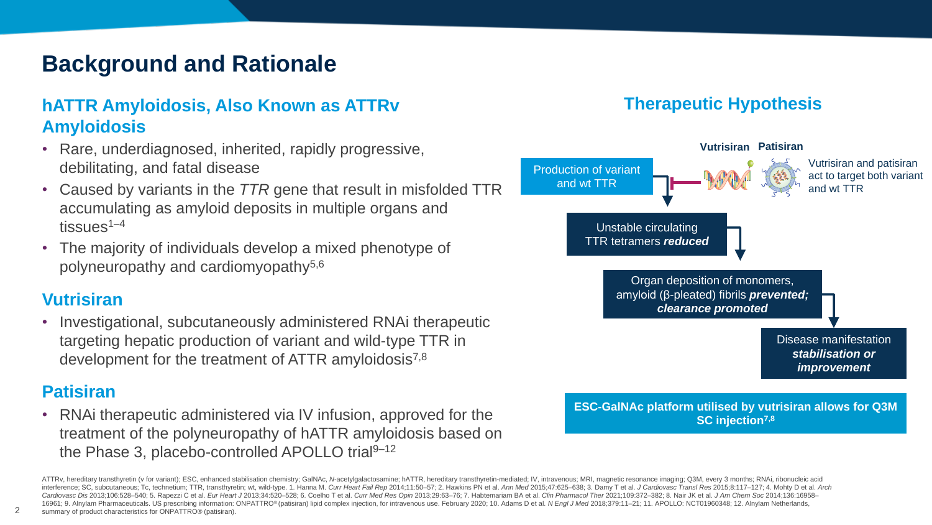## **Background and Rationale**

### **hATTR Amyloidosis, Also Known as ATTRv Amyloidosis**

- Rare, underdiagnosed, inherited, rapidly progressive, debilitating, and fatal disease
- Caused by variants in the *TTR* gene that result in misfolded TTR accumulating as amyloid deposits in multiple organs and  $t$ issues<sup>1–4</sup>
- The majority of individuals develop a mixed phenotype of polyneuropathy and cardiomyopathy5,6

### **Vutrisiran**

• Investigational, subcutaneously administered RNAi therapeutic targeting hepatic production of variant and wild-type TTR in development for the treatment of ATTR amyloidosis<sup>7,8</sup>

### **Patisiran**

2

• RNAi therapeutic administered via IV infusion, approved for the treatment of the polyneuropathy of hATTR amyloidosis based on the Phase 3, placebo-controlled APOLLO trial<sup>9-12</sup>

ATTRv, hereditary transthyretin (v for variant); ESC, enhanced stabilisation chemistry; GalNAc, N-acetylgalactosamine; hATTR, hereditary transthyretin-mediated; IV, intravenous; MRI, magnetic resonance imaging; Q3M, every interference; SC, subcutaneous; Tc, technetium; TTR, transthyretin; wt, wild-type. 1. Hanna M. Curr Heart Fail Rep 2014;11:50-57; 2. Hawkins PN et al. Ann Med 2015;47:625-638; 3. Damy T et al. J Cardiovasc Transl Res 2015; Cardiovasc Dis 2013;106:528-540; 5. Rapezzi C et al. Eur Heart J 2013;34:520-528; 6. Coelho T et al. Curr Med Res Opin 2013;29:63-76; 7. Habtemariam BA et al. Clin Pharmacol Ther 2021;109:372-382; 8. Nair JK et al. J Am Ch 16961; 9. Alnylam Pharmaceuticals. US prescribing information: ONPATTRO®(patisiran) lipid complex injection, for intravenous use. February 2020; 10. Adams D et al. N Engl J Med 2018;379:11-21; 11. APOLLO: NCT01960348; 12. summary of product characteristics for ONPATTRO® (patisiran).

### **Therapeutic Hypothesis**

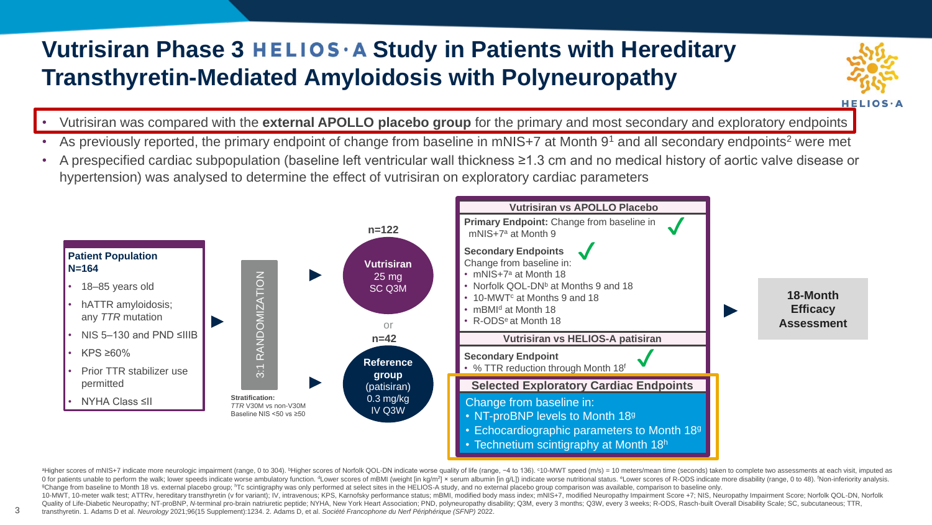## **Vutrisiran Phase 3 HELIOS A Study in Patients with Hereditary Transthyretin-Mediated Amyloidosis with Polyneuropathy**



- Vutrisiran was compared with the **external APOLLO placebo group** for the primary and most secondary and exploratory endpoints
- As previously reported, the primary endpoint of change from baseline in mNIS+7 at Month 9<sup>1</sup> and all secondary endpoints<sup>2</sup> were met
- A prespecified cardiac subpopulation (baseline left ventricular wall thickness ≥1.3 cm and no medical history of aortic valve disease or hypertension) was analysed to determine the effect of vutrisiran on exploratory cardiac parameters



a Higher scores of mNIS+7 indicate more neurologic impairment (range, 0 to 304). bHigher scores of Norfolk QOL-DN indicate worse quality of life (range, -4 to 136). °10-MWT speed (m/s) = 10 meters/mean time (seconds) taken 0 for patients unable to perform the walk; lower speeds indicate worse ambulatory function. <sup>d</sup>Lower scores of mBMI (weight [in kg/m<sup>2</sup>] × serum albumin [in g/L]) indicate worse nutritional status. <sup>e</sup>Lower scores of R-ODS <sup>g</sup>Change from baseline to Month 18 vs. external placebo group; <sup>h</sup>Tc scintigraphy was only performed at select sites in the HELIOS-A study, and no external placebo group comparison was available, comparison to baseline on

10-MWT, 10-meter walk test; ATTRv, hereditary transthyretin (v for variant); IV, intravenous; KPS, Karnofsky performance status; mBMI, modified body mass index; mNIS+7, modified Neuropathy Impairment Score +7; NIS, Neuropa Quality of Life-Diabetic Neuropathy: NT-proBNP, N-terminal pro-brain natriuretic peptide: NYHA, New York Heart Association: PND, polyneuropathy disability: Q3M, every 3 months: Q3W, every 3 weeks: R-ODS, Rasch-built Overal transthyretin. 1. Adams D et al. *Neurology* 2021;96(15 Supplement):1234. 2. Adams D, et al. *Société Francophone du Nerf Périphérique (SFNP)* 2022.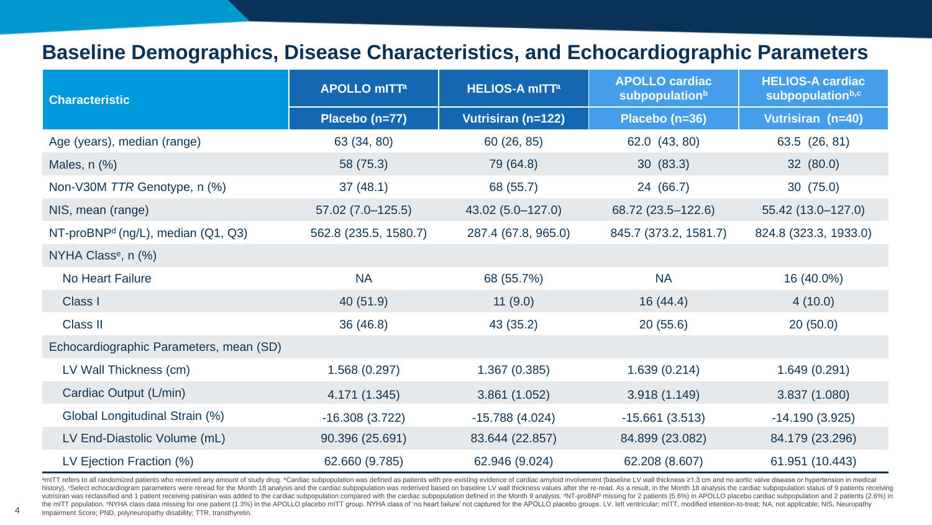### **Baseline Demographics, Disease Characteristics, and Echocardiographic Parameters**

| <b>Characteristic</b>                          | <b>APOLLO mITT<sup>a</sup></b> | <b>HELIOS-A mITT<sup>a</sup></b> | <b>APOLLO cardiac</b><br>subpopulationb | <b>HELIOS-A cardiac</b><br>subpopulationb,c |
|------------------------------------------------|--------------------------------|----------------------------------|-----------------------------------------|---------------------------------------------|
|                                                | Placebo (n=77)                 | Vutrisiran (n=122)               | Placebo (n=36)                          | Vutrisiran (n=40)                           |
| Age (years), median (range)                    | 63 (34, 80)                    | 60 (26, 85)<br>62.0 (43, 80)     |                                         | 63.5 (26, 81)                               |
| Males, $n$ $%$                                 | 58 (75.3)                      | 30(83.3)<br>79 (64.8)            |                                         | 32(80.0)                                    |
| Non-V30M TTR Genotype, n (%)                   | 37(48.1)                       | 68 (55.7)<br>24 (66.7)           |                                         | 30(75.0)                                    |
| NIS, mean (range)                              | $57.02(7.0-125.5)$             | 43.02 (5.0-127.0)                | 68.72 (23.5–122.6)                      |                                             |
| NT-proBNP <sup>d</sup> (ng/L), median (Q1, Q3) | 562.8 (235.5, 1580.7)          | 287.4 (67.8, 965.0)              | 845.7 (373.2, 1581.7)                   | 824.8 (323.3, 1933.0)                       |
| NYHA Class <sup>e</sup> , n (%)                |                                |                                  |                                         |                                             |
| No Heart Failure                               | <b>NA</b>                      | 68 (55.7%)                       | <b>NA</b>                               | 16 (40.0%)                                  |
| Class I                                        | 40 (51.9)                      | 11(9.0)                          | 16(44.4)                                | 4(10.0)                                     |
| <b>Class II</b>                                | 36 (46.8)                      | 43(35.2)                         | 20(55.6)                                | 20(50.0)                                    |
| Echocardiographic Parameters, mean (SD)        |                                |                                  |                                         |                                             |
| LV Wall Thickness (cm)                         | 1.568(0.297)                   | 1.367(0.385)                     | 1.639(0.214)                            | 1.649(0.291)                                |
| Cardiac Output (L/min)                         | 4.171 (1.345)                  | 3.861(1.052)                     | 3.918(1.149)                            | 3.837 (1.080)                               |
| Global Longitudinal Strain (%)                 | $-16.308(3.722)$               | $-15.788(4.024)$                 | $-15.661(3.513)$                        | $-14.190(3.925)$                            |
| LV End-Diastolic Volume (mL)                   | 90.396 (25.691)                | 83.644 (22.857)                  | 84.899 (23.082)                         | 84.179 (23.296)                             |
| LV Ejection Fraction (%)                       | 62.660 (9.785)                 | 62.946 (9.024)                   | 62.208 (8.607)                          | 61.951 (10.443)                             |

amITT refers to all randomized patients who received any amount of study drug. <sup>b</sup>Cardiac subpopulation was defined as patients with pre-existing evidence of cardiac amyloid involvement (baseline LV wall thickness ≥1.3 cm history). "Select echocardiogram parameters were reread for the Month 18 analysis and the cardiac subpopulation was rederived based on baseline LV wall thickness values after the re-read. As a result, in the Month 18 analy vutrisiran was reclassified and 1 patient receiving patisiran was added to the cardiac subpopulation compared with the cardiac subpopulation defined in the Month 9 analysis. <sup>4</sup>NT-proBNP missing for 2 patients (5.6%) in AP the mITT population. <sup>e</sup>NYHA class data missing for one patient (1.3%) in the APOLLO placebo mITT group. NYHA class of 'no heart failure' not captured for the APOLLO placebo groups. LV. left ventricular: mITT, modified int Impairment Score; PND, polyneuropathy disability; TTR, transthyretin.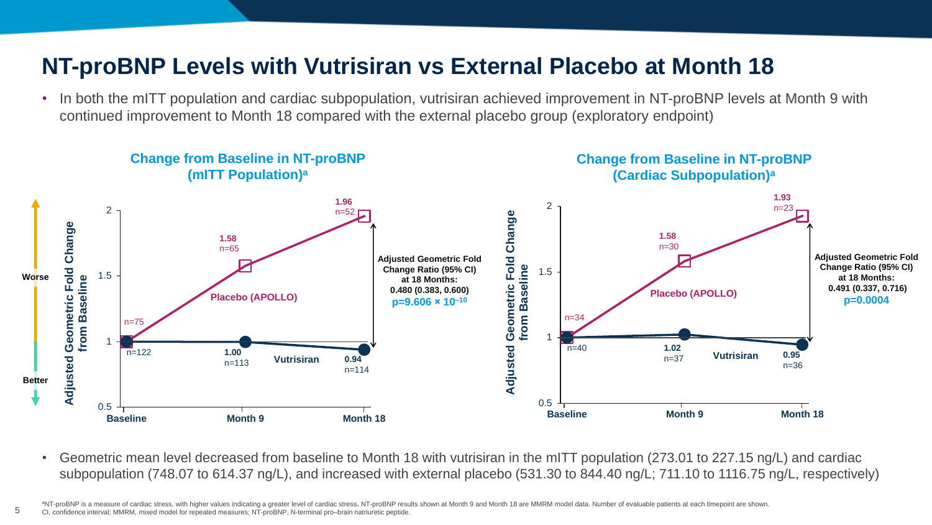## **NT-proBNP Levels with Vutrisiran vs External Placebo at Month 18**

• In both the mITT population and cardiac subpopulation, vutrisiran achieved improvement in NT-proBNP levels at Month 9 with continued improvement to Month 18 compared with the external placebo group (exploratory endpoint)



• Geometric mean level decreased from baseline to Month 18 with vutrisiran in the mITT population (273.01 to 227.15 ng/L) and cardiac subpopulation (748.07 to 614.37 ng/L), and increased with external placebo (531.30 to 844.40 ng/L; 711.10 to 1116.75 ng/L, respectively)

aNT-proBNP is a measure of cardiac stress, with higher values indicating a greater level of cardiac stress. NT-proBNP results shown at Month 9 and Month 18 are MMRM model data. Number of evaluable patients at each timepoin CI, confidence interval; MMRM, mixed model for repeated measures; NT-proBNP, N-terminal pro–brain natriuretic peptide.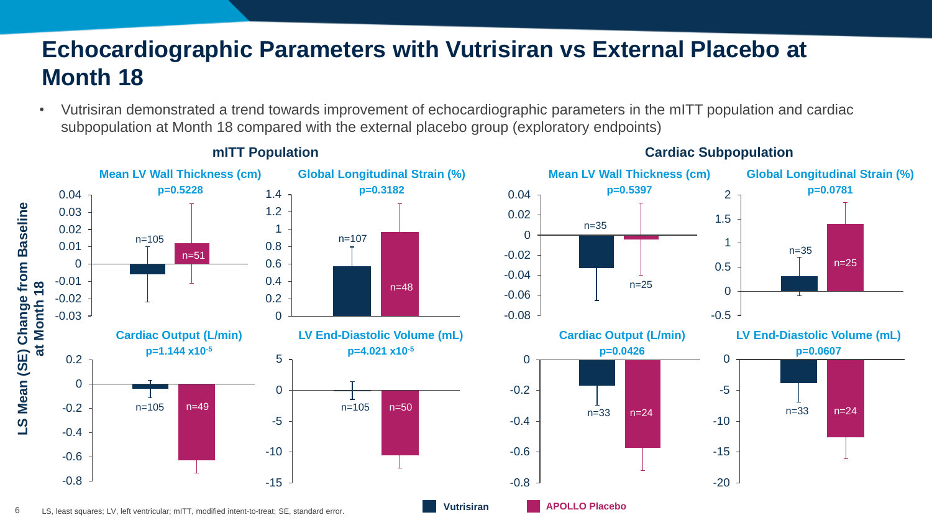## **Echocardiographic Parameters with Vutrisiran vs External Placebo at Month 18**

• Vutrisiran demonstrated a trend towards improvement of echocardiographic parameters in the mITT population and cardiac subpopulation at Month 18 compared with the external placebo group (exploratory endpoints)



### **mITT Population Cardiac Subpopulation**

6 LS, least squares; LV, left ventricular; mITT, modified intent-to-treat; SE, standard error.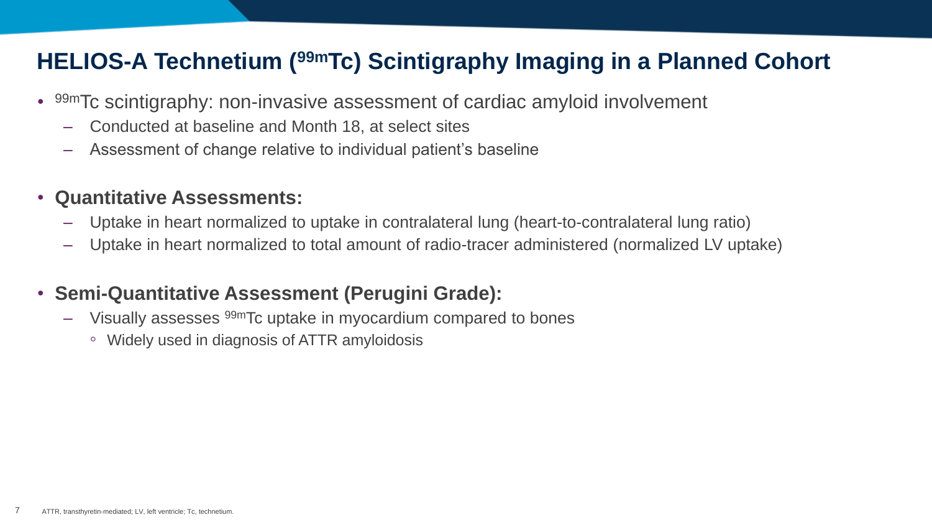## **HELIOS-A Technetium (99mTc) Scintigraphy Imaging in a Planned Cohort**

- <sup>99m</sup>Tc scintigraphy: non-invasive assessment of cardiac amyloid involvement
	- Conducted at baseline and Month 18, at select sites
	- Assessment of change relative to individual patient's baseline
- **Quantitative Assessments:**
	- Uptake in heart normalized to uptake in contralateral lung (heart-to-contralateral lung ratio)
	- Uptake in heart normalized to total amount of radio-tracer administered (normalized LV uptake)
- **Semi-Quantitative Assessment (Perugini Grade):**
	- Visually assesses 99mTc uptake in myocardium compared to bones
		- Widely used in diagnosis of ATTR amyloidosis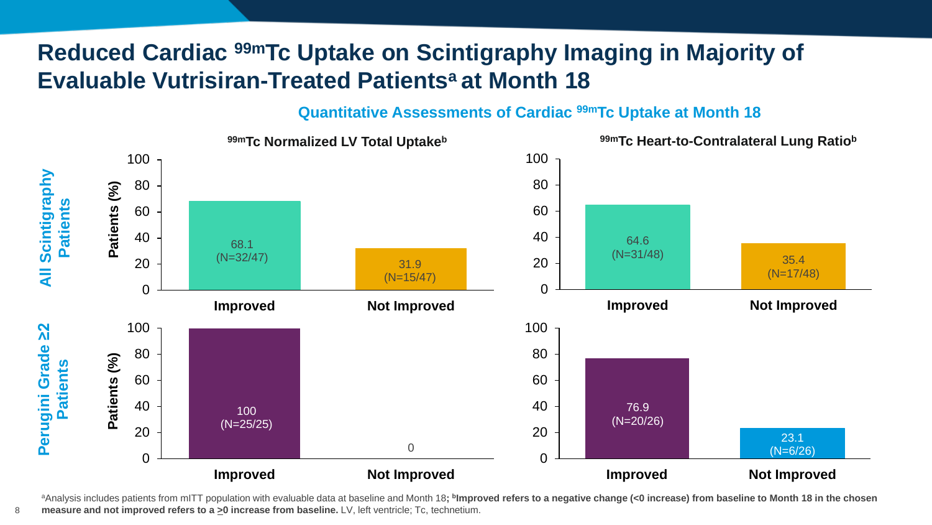## **Reduced Cardiac 99mTc Uptake on Scintigraphy Imaging in Majority of Evaluable Vutrisiran-Treated Patients<sup>a</sup> at Month 18**

### **Quantitative Assessments of Cardiac 99mTc Uptake at Month 18**



a Analysis includes patients from mITT population with evaluable data at baseline and Month 18; **<sup>b</sup>Improved refers to a negative change (<0 increase) from baseline to Month 18 in the chosen measure and not improved refers to a >0 increase from baseline.** LV, left ventricle; Tc, technetium.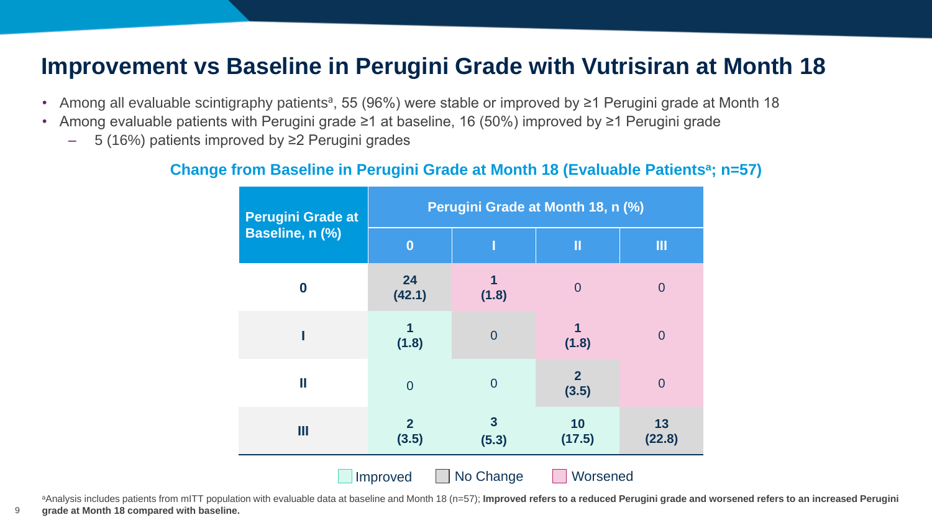### **Improvement vs Baseline in Perugini Grade with Vutrisiran at Month 18**

- Among all evaluable scintigraphy patients<sup>a</sup>, 55 (96%) were stable or improved by ≥1 Perugini grade at Month 18
- Among evaluable patients with Perugini grade ≥1 at baseline, 16 (50%) improved by ≥1 Perugini grade
	- 5 (16%) patients improved by ≥2 Perugini grades

9

### **Change from Baseline in Perugini Grade at Month 18 (Evaluable Patients<sup>a</sup> ; n=57)**

| <b>Perugini Grade at</b><br>Baseline, n (%) | Perugini Grade at Month 18, n (%) |                         |                         |                |  |  |
|---------------------------------------------|-----------------------------------|-------------------------|-------------------------|----------------|--|--|
|                                             | $\bf{0}$                          |                         | Ш                       | Ш              |  |  |
| $\boldsymbol{0}$                            | 24<br>(42.1)                      | (1.8)                   | $\overline{0}$          | $\overline{0}$ |  |  |
|                                             | 1<br>(1.8)                        | $\overline{0}$          | 1<br>(1.8)              | $\overline{0}$ |  |  |
| Ш                                           | $\overline{0}$                    | $\overline{0}$          | $\overline{2}$<br>(3.5) | $\overline{0}$ |  |  |
| Ш                                           | $\overline{2}$<br>(3.5)           | $\overline{3}$<br>(5.3) | 10<br>(17.5)            | 13<br>(22.8)   |  |  |
| No Change<br>Worsened<br>Improved           |                                   |                         |                         |                |  |  |

aAnalysis includes patients from mITT population with evaluable data at baseline and Month 18 (n=57); **Improved refers to a reduced Perugini grade and worsened refers to an increased Perugini grade at Month 18 compared with baseline.**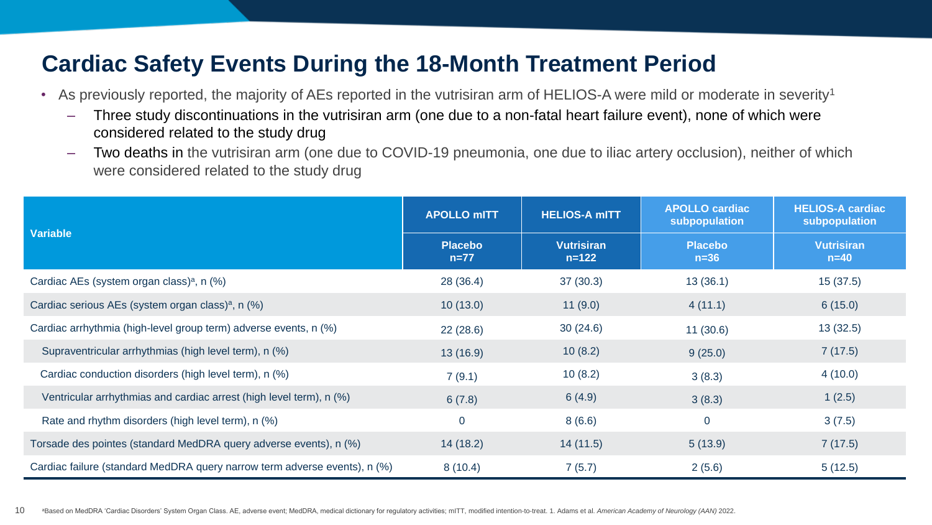## **Cardiac Safety Events During the 18-Month Treatment Period**

- As previously reported, the majority of AEs reported in the vutrisiran arm of HELIOS-A were mild or moderate in severity<sup>1</sup>
	- Three study discontinuations in the vutrisiran arm (one due to a non-fatal heart failure event), none of which were considered related to the study drug
	- Two deaths in the vutrisiran arm (one due to COVID-19 pneumonia, one due to iliac artery occlusion), neither of which were considered related to the study drug

|                                                                           | <b>APOLLO mITT</b>       | <b>HELIOS-A mITT</b>           | <b>APOLLO cardiac</b><br>subpopulation | <b>HELIOS-A cardiac</b><br>subpopulation |
|---------------------------------------------------------------------------|--------------------------|--------------------------------|----------------------------------------|------------------------------------------|
| <b>Variable</b>                                                           | <b>Placebo</b><br>$n=77$ | <b>Vutrisiran</b><br>$n = 122$ | <b>Placebo</b><br>$n=36$               | <b>Vutrisiran</b><br>$n=40$              |
| Cardiac AEs (system organ class) <sup>a</sup> , n (%)                     | 28 (36.4)                | 37(30.3)                       | 13(36.1)                               | 15(37.5)                                 |
| Cardiac serious AEs (system organ class) <sup>a</sup> , n (%)             | 10(13.0)                 | 11(9.0)                        | 4(11.1)                                | 6(15.0)                                  |
| Cardiac arrhythmia (high-level group term) adverse events, n (%)          | 22(28.6)                 | 30(24.6)                       | 11(30.6)                               | 13(32.5)                                 |
| Supraventricular arrhythmias (high level term), n (%)                     | 13(16.9)                 | 10(8.2)                        | 9(25.0)                                | 7(17.5)                                  |
| Cardiac conduction disorders (high level term), n (%)                     | 7(9.1)                   | 10(8.2)                        | 3(8.3)                                 | 4(10.0)                                  |
| Ventricular arrhythmias and cardiac arrest (high level term), n (%)       | 6(7.8)                   | 6(4.9)                         | 3(8.3)                                 | 1(2.5)                                   |
| Rate and rhythm disorders (high level term), n (%)                        | 0                        | 8(6.6)                         | $\mathbf 0$                            | 3(7.5)                                   |
| Torsade des pointes (standard MedDRA query adverse events), n (%)         | 14(18.2)                 | 14(11.5)                       | 5(13.9)                                | 7(17.5)                                  |
| Cardiac failure (standard MedDRA query narrow term adverse events), n (%) | 8(10.4)                  | 7(5.7)                         | 2(5.6)                                 | 5(12.5)                                  |